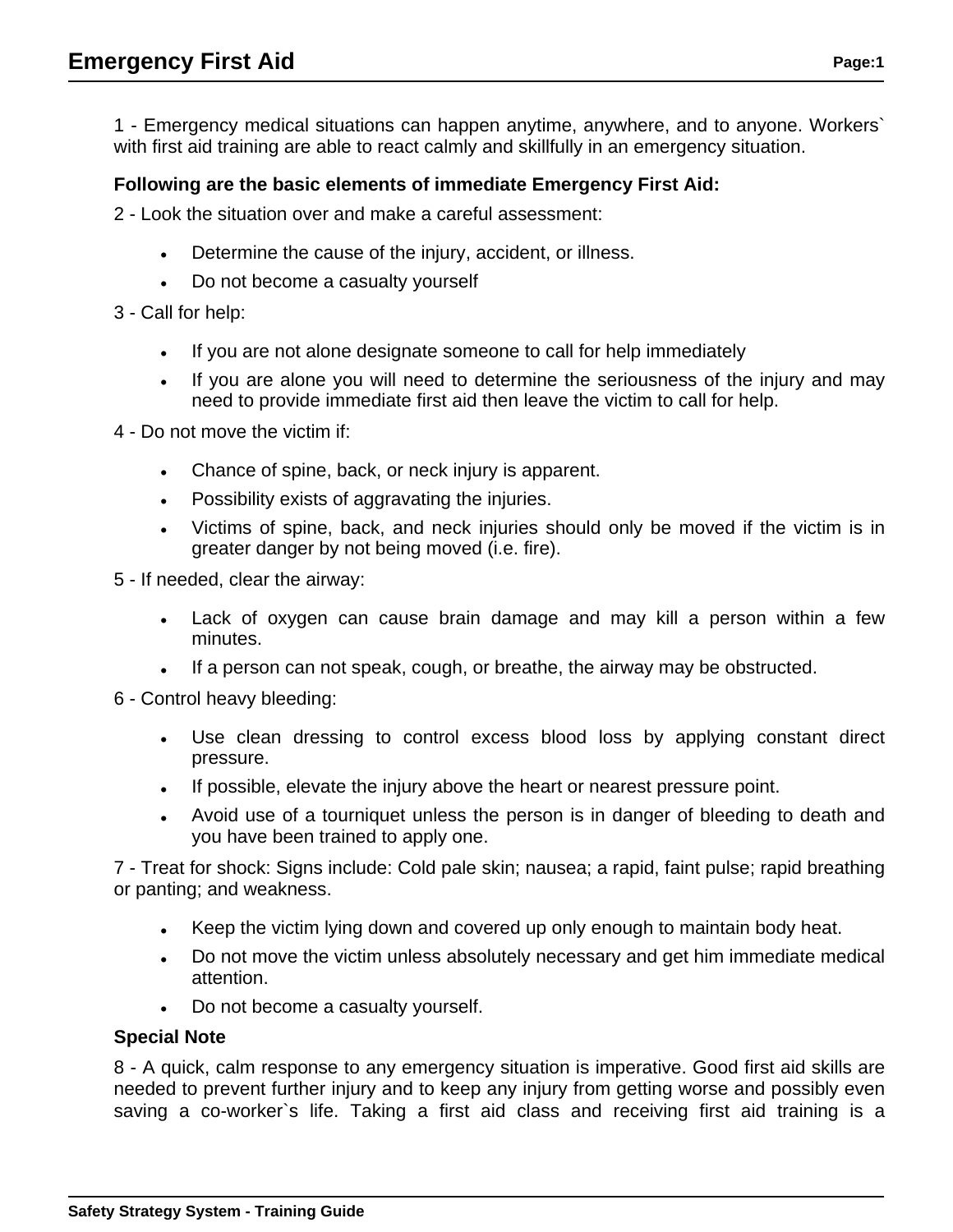1 - Emergency medical situations can happen anytime, anywhere, and to anyone. Workers` with first aid training are able to react calmly and skillfully in an emergency situation.

## **Following are the basic elements of immediate Emergency First Aid:**

2 - Look the situation over and make a careful assessment:

- Determine the cause of the injury, accident, or illness.
- Do not become a casualty yourself

3 - Call for help:

- If you are not alone designate someone to call for help immediately
- If you are alone you will need to determine the seriousness of the injury and may need to provide immediate first aid then leave the victim to call for help.

4 - Do not move the victim if:

- Chance of spine, back, or neck injury is apparent.
- Possibility exists of aggravating the injuries.
- Victims of spine, back, and neck injuries should only be moved if the victim is in greater danger by not being moved (i.e. fire).

5 - If needed, clear the airway:

- Lack of oxygen can cause brain damage and may kill a person within a few minutes.
- If a person can not speak, cough, or breathe, the airway may be obstructed.

6 - Control heavy bleeding:

- Use clean dressing to control excess blood loss by applying constant direct pressure.
- If possible, elevate the injury above the heart or nearest pressure point.
- Avoid use of a tourniquet unless the person is in danger of bleeding to death and you have been trained to apply one.

7 - Treat for shock: Signs include: Cold pale skin; nausea; a rapid, faint pulse; rapid breathing or panting; and weakness.

- Keep the victim lying down and covered up only enough to maintain body heat.
- Do not move the victim unless absolutely necessary and get him immediate medical attention.
- Do not become a casualty yourself.

## **Special Note**

8 - A quick, calm response to any emergency situation is imperative. Good first aid skills are needed to prevent further injury and to keep any injury from getting worse and possibly even saving a co-worker`s life. Taking a first aid class and receiving first aid training is a